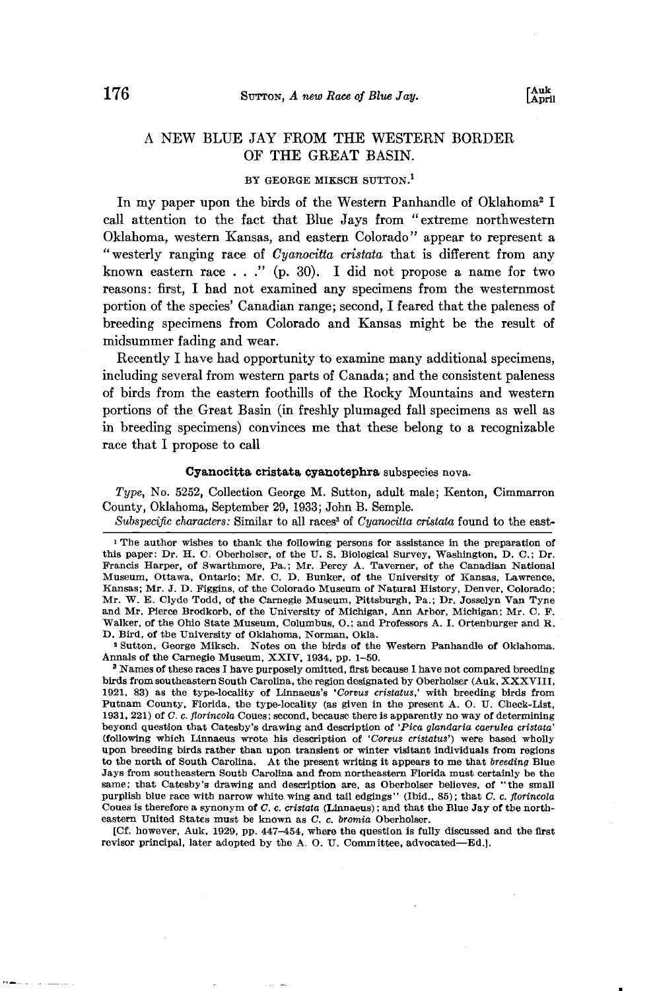## **A NEW BLUE JAY FROM THE WESTERN BORDER OF THE GREAT BASIN.**

## BY GEORGE MIKSCH SUTTON.<sup>1</sup>

In my paper upon the birds of the Western Panhandle of Oklahoma<sup>2</sup> I **call attention to the fact that Blue Jays from "extreme northwestern Oklahoma, western Kansas, and eastern Colorado" appear to represent a "westerly ranging race of Cyanocitta cristata that is different from any known eastern race . . ." (p. 30). I did not propose a name for two reasons: first, I had not examined any specimens from the westernmost**  portion of the species' Canadian range; second, I feared that the paleness of breeding specimens from Colorado and Kansas might be the result of **midsummer fading and wear.** 

Recently I have had opportunity to examine many additional specimens, **including several from western parts of Canada; and the consistent paleness of birds from the eastern foothills of the Rocky Mountains and western portions of the Great Basin (in freshly plumaged fall specimens as well as in breeding specimens) convinces me that these belong to a recognizable race that I propose to call** 

## **Cyanocitta cristata cyanotephra subspecies nova.**

**Type, No. 5252, Collection George M. Sutton, adult male; Kenton, Cimmarron County, Oklahoma, September 29, 1933; John B. Semple.** 

Subspecific characters: Similar to all races<sup>3</sup> of Cyanocitta cristata found to the east-

**• The author wishes to thank the following persons for assistance in the preparation of this paper: Dr. H. C. Oberholscr, of the U.S. Biological Survey, Washington, D.C.; Dr. Francis Harper, of Swarthmore, Pa.; Mr. Percy A. Taverner, of the Canadian National Museum, Ottawa, Ontario; Mr. C. D. Bunker, of the University of Kansas, Lawrence,**  Kansas; Mr. J. D. Figgins, of the Colorado Museum of Natural History, Denver, Colorado; **Mr. W. E. Clyde Todd, of the Carnegie Museum, Pittsburgh, Pa.; Dr. Josselyn Van Tyne**  and Mr. Pierce Brodkorb, of the University of Michigan, Ann Arbor, Michigan; Mr. C. F. **Walker, of the Ohio State Museum, Columbus, 0.; and Professors A. I. Ortenburger and R. D. Bird, of the University of Oklahoma, Norman, Okla.** 

**• Sutton, George Miksch. Notes on the birds of the Western Panhandle of Oklahoma. Annals of the Carnegie Museum, XXIV, 1934, pp. 1-50.** 

<sup>2</sup> Names of these races I have purposely omitted, first because I have not compared breeding **birds from southeastern South Carolina, the region designated by Oberholser (Auk, XXXVIII, 1921, 83) as the type-locality of Linnaeus's 'Corvus cristatus,' with breeding birds from Putnam County, Florida, tbe type-locality (as given in the present A. O. U. Check-List, 1931, 221) of C. c. florincola Coues; second, because there is apparently no way of determining**  beyond question that Catesby's drawing and description of 'Pica glandaria caerulea cristata' **(following which Linnaeus wrote his description of 'Corvus cristatus') were based wholly upon breeding birds rather than upon transient or winter visitant individuals from regions**  to the north of South Carolina. At the present writing it appears to me that breeding Blue **Jays from southeastern South Carolina and from northeastern Florida must certainly be the**  same; that Catesby's drawing and description are, as Oberholser believes, of "the small **purplish blue race with narrow white wing and tail edgings" (Ibid., 85); that C. c. florincola Coues is therefore a synonym of C. c. cristata (Linnaeus); and that the Blue Jay of the northeastern United States must be known as C. c. bromia Oberholser.** 

**[Cf. however, Auk, 1929, pp. 447-454, where the question is fully discussed and the first revisor principal, later adopted by the A. O. U. Committee, advocated--Ed.].**